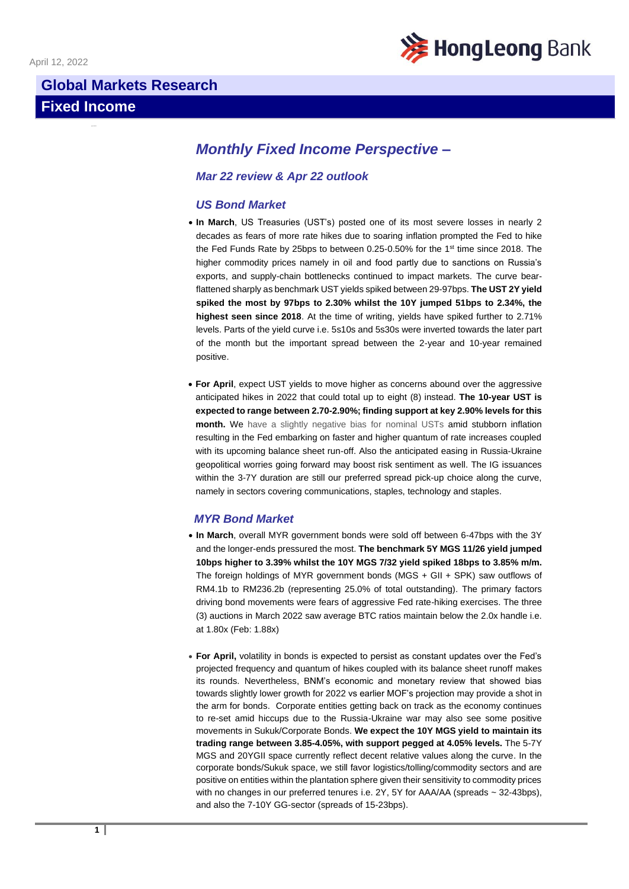

# **Global Markets Research Fixed Income**

## *Monthly Fixed Income Perspective –*

## *Mar 22 review & Apr 22 outlook*

#### *US Bond Market*

- **In March**, US Treasuries (UST's) posted one of its most severe losses in nearly 2 decades as fears of more rate hikes due to soaring inflation prompted the Fed to hike the Fed Funds Rate by 25bps to between 0.25-0.50% for the 1<sup>st</sup> time since 2018. The higher commodity prices namely in oil and food partly due to sanctions on Russia's exports, and supply-chain bottlenecks continued to impact markets. The curve bearflattened sharply as benchmark UST yields spiked between 29-97bps. **The UST 2Y yield spiked the most by 97bps to 2.30% whilst the 10Y jumped 51bps to 2.34%, the highest seen since 2018**. At the time of writing, yields have spiked further to 2.71% levels. Parts of the yield curve i.e. 5s10s and 5s30s were inverted towards the later part of the month but the important spread between the 2-year and 10-year remained positive.
- **For April**, expect UST yields to move higher as concerns abound over the aggressive anticipated hikes in 2022 that could total up to eight (8) instead. **The 10-year UST is expected to range between 2.70-2.90%; finding support at key 2.90% levels for this month.** We have a slightly negative bias for nominal USTs amid stubborn inflation resulting in the Fed embarking on faster and higher quantum of rate increases coupled with its upcoming balance sheet run-off. Also the anticipated easing in Russia-Ukraine geopolitical worries going forward may boost risk sentiment as well. The IG issuances within the 3-7Y duration are still our preferred spread pick-up choice along the curve, namely in sectors covering communications, staples, technology and staples.

### *MYR Bond Market*

- **In March**, overall MYR government bonds were sold off between 6-47bps with the 3Y and the longer-ends pressured the most. **The benchmark 5Y MGS 11/26 yield jumped 10bps higher to 3.39% whilst the 10Y MGS 7/32 yield spiked 18bps to 3.85% m/m.** The foreign holdings of MYR government bonds (MGS + GII + SPK) saw outflows of RM4.1b to RM236.2b (representing 25.0% of total outstanding). The primary factors driving bond movements were fears of aggressive Fed rate-hiking exercises. The three (3) auctions in March 2022 saw average BTC ratios maintain below the 2.0x handle i.e. at 1.80x (Feb: 1.88x)
- **For April,** volatility in bonds is expected to persist as constant updates over the Fed's projected frequency and quantum of hikes coupled with its balance sheet runoff makes its rounds. Nevertheless, BNM's economic and monetary review that showed bias towards slightly lower growth for 2022 vs earlier MOF's projection may provide a shot in the arm for bonds. Corporate entities getting back on track as the economy continues to re-set amid hiccups due to the Russia-Ukraine war may also see some positive movements in Sukuk/Corporate Bonds. **We expect the 10Y MGS yield to maintain its trading range between 3.85-4.05%, with support pegged at 4.05% levels.** The 5-7Y MGS and 20YGII space currently reflect decent relative values along the curve. In the corporate bonds/Sukuk space, we still favor logistics/tolling/commodity sectors and are positive on entities within the plantation sphere given their sensitivity to commodity prices with no changes in our preferred tenures i.e. 2Y, 5Y for AAA/AA (spreads ~ 32-43bps), and also the 7-10Y GG-sector (spreads of 15-23bps).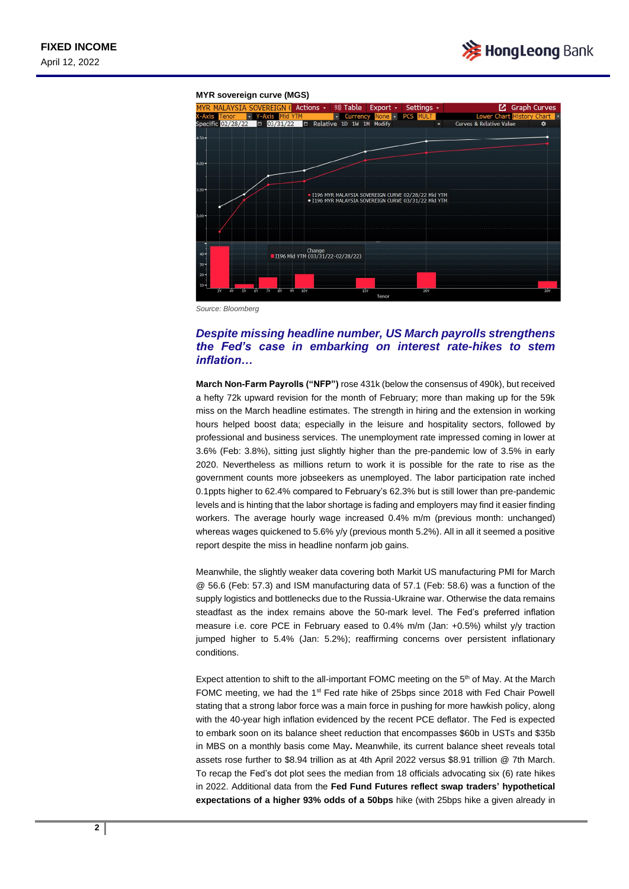

#### **MYR sovereign curve (MGS)**



*Source: Bloomberg*

## *Despite missing headline number, US March payrolls strengthens the Fed's case in embarking on interest rate-hikes to stem inflation…*

**March Non-Farm Payrolls ("NFP")** rose 431k (below the consensus of 490k), but received a hefty 72k upward revision for the month of February; more than making up for the 59k miss on the March headline estimates. The strength in hiring and the extension in working hours helped boost data; especially in the leisure and hospitality sectors, followed by professional and business services. The unemployment rate impressed coming in lower at 3.6% (Feb: 3.8%), sitting just slightly higher than the pre-pandemic low of 3.5% in early 2020. Nevertheless as millions return to work it is possible for the rate to rise as the government counts more jobseekers as unemployed. The labor participation rate inched 0.1ppts higher to 62.4% compared to February's 62.3% but is still lower than pre-pandemic levels and is hinting that the labor shortage is fading and employers may find it easier finding workers. The average hourly wage increased 0.4% m/m (previous month: unchanged) whereas wages quickened to 5.6% y/y (previous month 5.2%). All in all it seemed a positive report despite the miss in headline nonfarm job gains.

Meanwhile, the slightly weaker data covering both Markit US manufacturing PMI for March @ 56.6 (Feb: 57.3) and ISM manufacturing data of 57.1 (Feb: 58.6) was a function of the supply logistics and bottlenecks due to the Russia-Ukraine war. Otherwise the data remains steadfast as the index remains above the 50-mark level. The Fed's preferred inflation measure i.e. core PCE in February eased to 0.4% m/m (Jan:  $+0.5$ %) whilst  $y/y$  traction jumped higher to 5.4% (Jan: 5.2%); reaffirming concerns over persistent inflationary conditions.

Expect attention to shift to the all-important FOMC meeting on the  $5<sup>th</sup>$  of May. At the March FOMC meeting, we had the 1<sup>st</sup> Fed rate hike of 25bps since 2018 with Fed Chair Powell stating that a strong labor force was a main force in pushing for more hawkish policy, along with the 40-year high inflation evidenced by the recent PCE deflator. The Fed is expected to embark soon on its balance sheet reduction that encompasses \$60b in USTs and \$35b in MBS on a monthly basis come May**.** Meanwhile, its current balance sheet reveals total assets rose further to \$8.94 trillion as at 4th April 2022 versus \$8.91 trillion @ 7th March. To recap the Fed's dot plot sees the median from 18 officials advocating six (6) rate hikes in 2022. Additional data from the **Fed Fund Futures reflect swap traders' hypothetical expectations of a higher 93% odds of a 50bps** hike (with 25bps hike a given already in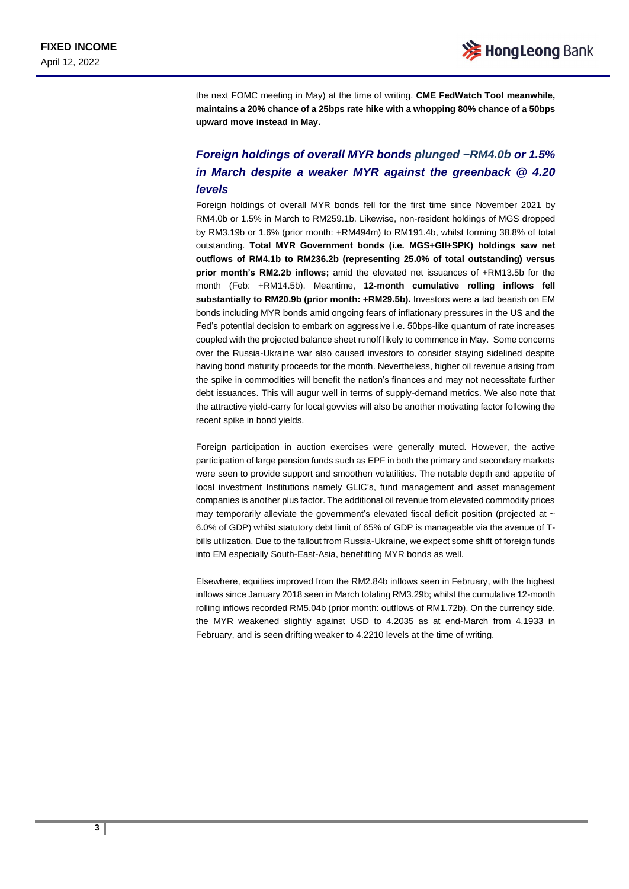the next FOMC meeting in May) at the time of writing. **CME FedWatch Tool meanwhile, maintains a 20% chance of a 25bps rate hike with a whopping 80% chance of a 50bps upward move instead in May.**

## *Foreign holdings of overall MYR bonds plunged ~RM4.0b or 1.5% in March despite a weaker MYR against the greenback @ 4.20 levels*

Foreign holdings of overall MYR bonds fell for the first time since November 2021 by RM4.0b or 1.5% in March to RM259.1b. Likewise, non-resident holdings of MGS dropped by RM3.19b or 1.6% (prior month: +RM494m) to RM191.4b, whilst forming 38.8% of total outstanding. **Total MYR Government bonds (i.e. MGS+GII+SPK) holdings saw net outflows of RM4.1b to RM236.2b (representing 25.0% of total outstanding) versus prior month's RM2.2b inflows;** amid the elevated net issuances of +RM13.5b for the month (Feb: +RM14.5b). Meantime, **12-month cumulative rolling inflows fell substantially to RM20.9b (prior month: +RM29.5b).** Investors were a tad bearish on EM bonds including MYR bonds amid ongoing fears of inflationary pressures in the US and the Fed's potential decision to embark on aggressive i.e. 50bps-like quantum of rate increases coupled with the projected balance sheet runoff likely to commence in May. Some concerns over the Russia-Ukraine war also caused investors to consider staying sidelined despite having bond maturity proceeds for the month. Nevertheless, higher oil revenue arising from the spike in commodities will benefit the nation's finances and may not necessitate further debt issuances. This will augur well in terms of supply-demand metrics. We also note that the attractive yield-carry for local govvies will also be another motivating factor following the recent spike in bond yields.

Foreign participation in auction exercises were generally muted. However, the active participation of large pension funds such as EPF in both the primary and secondary markets were seen to provide support and smoothen volatilities. The notable depth and appetite of local investment Institutions namely GLIC's, fund management and asset management companies is another plus factor. The additional oil revenue from elevated commodity prices may temporarily alleviate the government's elevated fiscal deficit position (projected at ~ 6.0% of GDP) whilst statutory debt limit of 65% of GDP is manageable via the avenue of Tbills utilization. Due to the fallout from Russia-Ukraine, we expect some shift of foreign funds into EM especially South-East-Asia, benefitting MYR bonds as well.

Elsewhere, equities improved from the RM2.84b inflows seen in February, with the highest inflows since January 2018 seen in March totaling RM3.29b; whilst the cumulative 12-month rolling inflows recorded RM5.04b (prior month: outflows of RM1.72b). On the currency side, the MYR weakened slightly against USD to 4.2035 as at end-March from 4.1933 in February, and is seen drifting weaker to 4.2210 levels at the time of writing.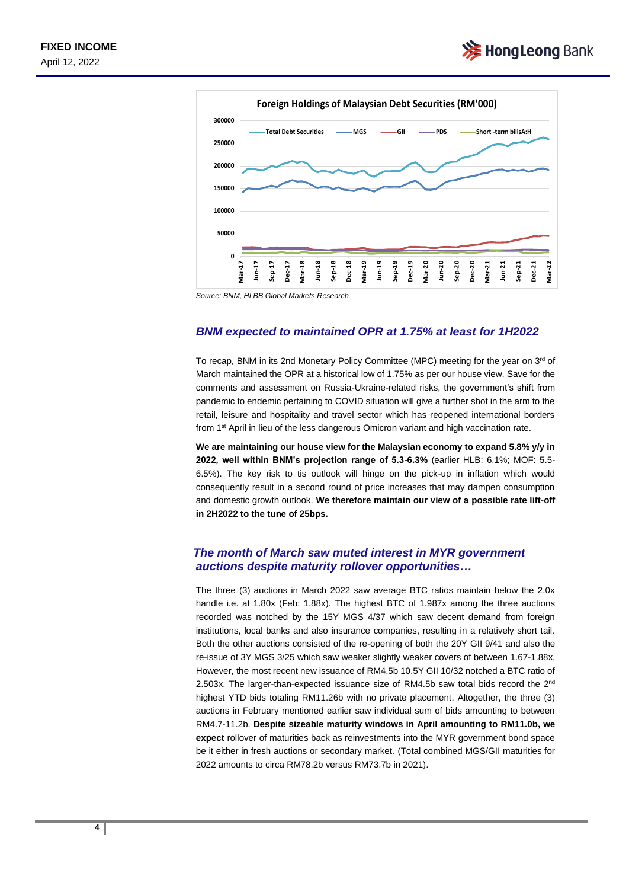



*Source: BNM, HLBB Global Markets Research*

#### *BNM expected to maintained OPR at 1.75% at least for 1H2022*

To recap, BNM in its 2nd Monetary Policy Committee (MPC) meeting for the year on 3<sup>rd</sup> of March maintained the OPR at a historical low of 1.75% as per our house view. Save for the comments and assessment on Russia-Ukraine-related risks, the government's shift from pandemic to endemic pertaining to COVID situation will give a further shot in the arm to the retail, leisure and hospitality and travel sector which has reopened international borders from 1<sup>st</sup> April in lieu of the less dangerous Omicron variant and high vaccination rate.

**We are maintaining our house view for the Malaysian economy to expand 5.8% y/y in 2022, well within BNM's projection range of 5.3-6.3%** (earlier HLB: 6.1%; MOF: 5.5- 6.5%). The key risk to tis outlook will hinge on the pick-up in inflation which would consequently result in a second round of price increases that may dampen consumption and domestic growth outlook. **We therefore maintain our view of a possible rate lift-off in 2H2022 to the tune of 25bps.** 

### *The month of March saw muted interest in MYR government auctions despite maturity rollover opportunities…*

The three (3) auctions in March 2022 saw average BTC ratios maintain below the 2.0x handle i.e. at 1.80x (Feb: 1.88x). The highest BTC of 1.987x among the three auctions recorded was notched by the 15Y MGS 4/37 which saw decent demand from foreign institutions, local banks and also insurance companies, resulting in a relatively short tail. Both the other auctions consisted of the re-opening of both the 20Y GII 9/41 and also the re-issue of 3Y MGS 3/25 which saw weaker slightly weaker covers of between 1.67-1.88x. However, the most recent new issuance of RM4.5b 10.5Y GII 10/32 notched a BTC ratio of 2.503x. The larger-than-expected issuance size of RM4.5b saw total bids record the  $2^{nd}$ highest YTD bids totaling RM11.26b with no private placement. Altogether, the three (3) auctions in February mentioned earlier saw individual sum of bids amounting to between RM4.7-11.2b. **Despite sizeable maturity windows in April amounting to RM11.0b, we expect** rollover of maturities back as reinvestments into the MYR government bond space be it either in fresh auctions or secondary market. (Total combined MGS/GII maturities for 2022 amounts to circa RM78.2b versus RM73.7b in 2021).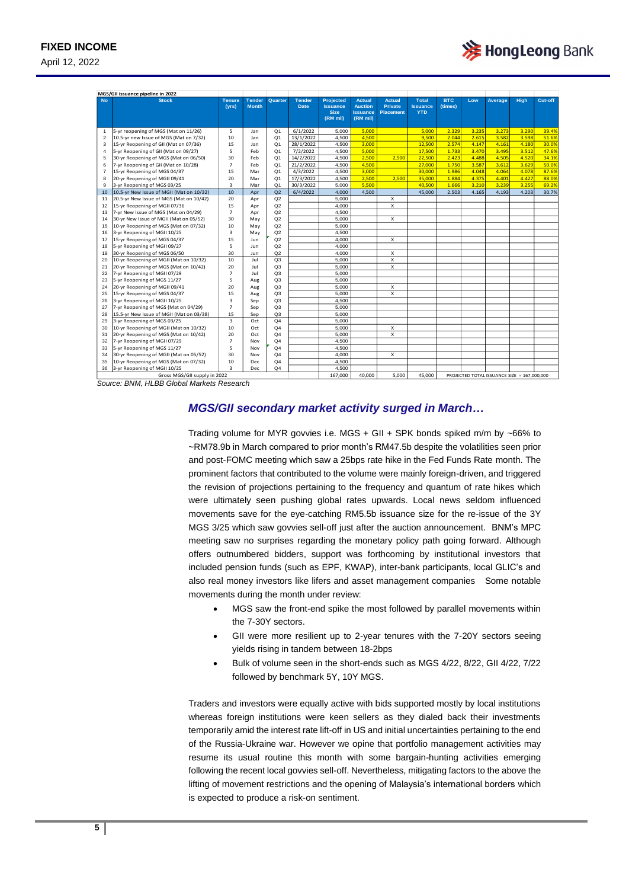April 12, 2022



| MGS/GII issuance pipeline in 2022 |                                          |                         |               |                |             |                         |                             |                           |                 |            |       |                                             |             |         |
|-----------------------------------|------------------------------------------|-------------------------|---------------|----------------|-------------|-------------------------|-----------------------------|---------------------------|-----------------|------------|-------|---------------------------------------------|-------------|---------|
| <b>No</b>                         | <b>Stock</b>                             | <b>Tenure</b>           | <b>Tender</b> | Quarter        | Tender      | <b>Projected</b>        | Actual                      | <b>Actual</b>             | <b>Total</b>    | <b>BTC</b> | Low   | Average                                     | <b>High</b> | Cut-off |
|                                   |                                          | (vrs)                   | <b>Month</b>  |                | <b>Date</b> | <b>Issuance</b>         | <b>Auction</b>              | <b>Private</b>            | <b>Issuance</b> | (times)    |       |                                             |             |         |
|                                   |                                          |                         |               |                |             | <b>Size</b><br>(RM mil) | <b>Issuance</b><br>(RM mil) | <b>Placement</b>          | <b>YTD</b>      |            |       |                                             |             |         |
|                                   |                                          |                         |               |                |             |                         |                             |                           |                 |            |       |                                             |             |         |
| $\mathbf{1}$                      | 5-yr reopening of MGS (Mat on 11/26)     | 5                       | Jan           | Q <sub>1</sub> | 6/1/2022    | 5,000                   | 5.000                       |                           | 5.000           | 2.329      | 3.235 | 3.273                                       | 3.290       | 39.4%   |
| $\overline{\mathbf{c}}$           | 10.5-yr new Issue of MGS (Mat on 7/32)   | 10                      | Jan           | O <sub>1</sub> | 13/1/2022   | 4,500                   | 4.500                       |                           | 9,500           | 2.044      | 2.615 | 3.582                                       | 3.598       | 51.6%   |
| 3                                 | 15-yr Reopening of GII (Mat on 07/36)    | 15                      | Jan           | Q <sub>1</sub> | 28/1/2022   | 4.500                   | 3.000                       |                           | 12.500          | 2.574      | 4.147 | 4.161                                       | 4.180       | 30.0%   |
| $\overline{4}$                    | 5-yr Reopening of GII (Mat on 09/27)     | 5                       | Feb           | Q <sub>1</sub> | 7/2/2022    | 4.500                   | 5,000                       |                           | 17,500          | 1.733      | 3.470 | 3.495                                       | 3.512       | 47.6%   |
| 5                                 | 30-yr Reopening of MGS (Mat on 06/50)    | 30                      | Feb           | Q <sub>1</sub> | 14/2/2022   | 4.500                   | 2.500                       | 2.500                     | 22,500          | 2.423      | 4.488 | 4.505                                       | 4.520       | 34.1%   |
| 6                                 | 7-yr Reopening of GII (Mat on 10/28)     | $\overline{7}$          | Feb           | Q <sub>1</sub> | 21/2/2022   | 4.500                   | 4.500                       |                           | 27,000          | 1.750      | 3.587 | 3.612                                       | 3.629       | 50.0%   |
| $\overline{7}$                    | 15-yr Reopening of MGS 04/37             | 15                      | Mar           | Q <sub>1</sub> | 4/3/2022    | 4.500                   | 3.000                       |                           | 30,000          | 1.986      | 4.048 | 4.064                                       | 4.078       | 87.6%   |
| 8                                 | 20-yr Reopening of MGII 09/41            | 20                      | Mar           | Q <sub>1</sub> | 17/3/2022   | 4,500                   | 2,500                       | 2,500                     | 35,000          | 1.884      | 4.375 | 4.401                                       | 4.427       | 88.0%   |
| 9                                 | 3-yr Reopening of MGS 03/25              | $\overline{3}$          | Mar           | Q <sub>1</sub> | 30/3/2022   | 5,000                   | 5,500                       |                           | 40,500          | 1.666      | 3.210 | 3.239                                       | 3.255       | 69.2%   |
| 10                                | 10.5-yr New Issue of MGII (Mat on 10/32) | 10                      | Apr           | Q2             | 6/4/2022    | 4.000                   | 4.500                       |                           | 45,000          | 2.503      | 4.165 | 4.193                                       | 4.203       | 30.7%   |
| 11                                | 20.5-yr New Issue of MGS (Mat on 10/42)  | 20                      | Apr           | Q2             |             | 5.000                   |                             | X                         |                 |            |       |                                             |             |         |
| 12                                | 15-yr Reopening of MGII 07/36            | 15                      | Apr           | Q2             |             | 4.000                   |                             | $\boldsymbol{\mathsf{x}}$ |                 |            |       |                                             |             |         |
| 13                                | 7-yr New Issue of MGS (Mat on 04/29)     | $\overline{7}$          | Apr           | Q2             |             | 4,500                   |                             |                           |                 |            |       |                                             |             |         |
| 14                                | 30-yr New Issue of MGII (Mat on 05/52)   | 30                      | May           | Q2             |             | 5,000                   |                             | X                         |                 |            |       |                                             |             |         |
| 15                                | 10-yr Reopening of MGS (Mat on 07/32)    | 10                      | May           | Q2             |             | 5,000                   |                             |                           |                 |            |       |                                             |             |         |
| 16                                | 3-yr Reopening of MGII 10/25             | $\overline{\mathbf{3}}$ | May           | Q2             |             | 4.500                   |                             |                           |                 |            |       |                                             |             |         |
| 17                                | 15-yr Reopening of MGS 04/37             | 15                      | Jun           | Q2             |             | 4.000                   |                             | $\boldsymbol{\mathsf{x}}$ |                 |            |       |                                             |             |         |
| 18                                | 5-yr Reopening of MGII 09/27             | 5                       | Jun           | Q <sub>2</sub> |             | 4,000                   |                             |                           |                 |            |       |                                             |             |         |
| 19                                | 30-yr Reopening of MGS 06/50             | 30                      | Jun           | O2             |             | 4,000                   |                             | x                         |                 |            |       |                                             |             |         |
| 20                                | 10-yr Reopening of MGII (Mat on 10/32)   | 10                      | Jul           | Q <sub>3</sub> |             | 5.000                   |                             | x                         |                 |            |       |                                             |             |         |
| 21                                | 20-yr Reopening of MGS (Mat on 10/42)    | 20                      | Jul           | Q <sub>3</sub> |             | 5.000                   |                             | $\boldsymbol{\mathsf{x}}$ |                 |            |       |                                             |             |         |
| 22                                | 7-yr Reopening of MGII 07/29             | $\overline{7}$          | Jul           | Q <sub>3</sub> |             | 5.000                   |                             |                           |                 |            |       |                                             |             |         |
| 23                                | 5-yr Reopening of MGS 11/27              | 5                       | Aug           | Q3             |             | 5.000                   |                             |                           |                 |            |       |                                             |             |         |
| 24                                | 20-yr Reopening of MGII 09/41            | 20                      | Aug           | Q <sub>3</sub> |             | 5.000                   |                             | X                         |                 |            |       |                                             |             |         |
| 25                                | 15-yr Reopening of MGS 04/37             | 15                      | Aug           | Q <sub>3</sub> |             | 5,000                   |                             | X                         |                 |            |       |                                             |             |         |
| 26                                | 3-yr Reopening of MGII 10/25             | $\overline{\mathbf{3}}$ | Sep           | Q3             |             | 4,500                   |                             |                           |                 |            |       |                                             |             |         |
| 27                                | 7-yr Reopening of MGS (Mat on 04/29)     | $\overline{7}$          | Sep           | Q <sub>3</sub> |             | 5,000                   |                             |                           |                 |            |       |                                             |             |         |
| 28                                | 15.5-yr New Issue of MGII (Mat on 03/38) | 15                      | Sep           | Q <sub>3</sub> |             | 5.000                   |                             |                           |                 |            |       |                                             |             |         |
| 29                                | 3-yr Reopening of MGS 03/25              | $\overline{\mathbf{3}}$ | Oct           | Q <sub>4</sub> |             | 5.000                   |                             |                           |                 |            |       |                                             |             |         |
| 30                                | 10-yr Reopening of MGII (Mat on 10/32)   | 10                      | Oct           | Q <sub>4</sub> |             | 5,000                   |                             | x                         |                 |            |       |                                             |             |         |
| 31                                | 20-yr Reopening of MGS (Mat on 10/42)    | 20                      | Oct           | Q <sub>4</sub> |             | 5,000                   |                             | X                         |                 |            |       |                                             |             |         |
| 32                                | 7-yr Reopening of MGII 07/29             | $\overline{7}$          | Nov           | O <sub>4</sub> |             | 4,500                   |                             |                           |                 |            |       |                                             |             |         |
| 33                                | 5-yr Reopening of MGS 11/27              | 5                       | Nov           | Q <sub>4</sub> |             | 4.500                   |                             |                           |                 |            |       |                                             |             |         |
| 34                                | 30-yr Reopening of MGII (Mat on 05/52)   | 30                      | Nov           | Q <sub>4</sub> |             | 4.000                   |                             | $\boldsymbol{\mathsf{x}}$ |                 |            |       |                                             |             |         |
| 35                                | 10-yr Reopening of MGS (Mat on 07/32)    | 10                      | Dec           | Q <sub>4</sub> |             | 4,500                   |                             |                           |                 |            |       |                                             |             |         |
| 36                                | 3-yr Reopening of MGII 10/25             | 3                       | Dec.          | O <sub>4</sub> |             | 4,500                   |                             |                           |                 |            |       |                                             |             |         |
| Gross MGS/GII supply in 2022      |                                          |                         |               |                |             | 167.000                 | 40,000                      | 5.000                     | 45.000          |            |       | PROJECTED TOTAL ISSUANCE SIZE = 167,000.000 |             |         |

*Source: BNM, HLBB Global Markets Research*

#### *MGS/GII secondary market activity surged in March…*

Trading volume for MYR govvies i.e. MGS + GII + SPK bonds spiked m/m by ~66% to ~RM78.9b in March compared to prior month's RM47.5b despite the volatilities seen prior and post-FOMC meeting which saw a 25bps rate hike in the Fed Funds Rate month. The prominent factors that contributed to the volume were mainly foreign-driven, and triggered the revision of projections pertaining to the frequency and quantum of rate hikes which were ultimately seen pushing global rates upwards. Local news seldom influenced movements save for the eye-catching RM5.5b issuance size for the re-issue of the 3Y MGS 3/25 which saw govvies sell-off just after the auction announcement. BNM's MPC meeting saw no surprises regarding the monetary policy path going forward. Although offers outnumbered bidders, support was forthcoming by institutional investors that included pension funds (such as EPF, KWAP), inter-bank participants, local GLIC's and also real money investors like lifers and asset management companies Some notable movements during the month under review:

- MGS saw the front-end spike the most followed by parallel movements within the 7-30Y sectors.
- GII were more resilient up to 2-year tenures with the 7-20Y sectors seeing yields rising in tandem between 18-2bps
- Bulk of volume seen in the short-ends such as MGS 4/22, 8/22, GII 4/22, 7/22 followed by benchmark 5Y, 10Y MGS.

Traders and investors were equally active with bids supported mostly by local institutions whereas foreign institutions were keen sellers as they dialed back their investments temporarily amid the interest rate lift-off in US and initial uncertainties pertaining to the end of the Russia-Ukraine war. However we opine that portfolio management activities may resume its usual routine this month with some bargain-hunting activities emerging following the recent local govvies sell-off. Nevertheless, mitigating factors to the above the lifting of movement restrictions and the opening of Malaysia's international borders which is expected to produce a risk-on sentiment.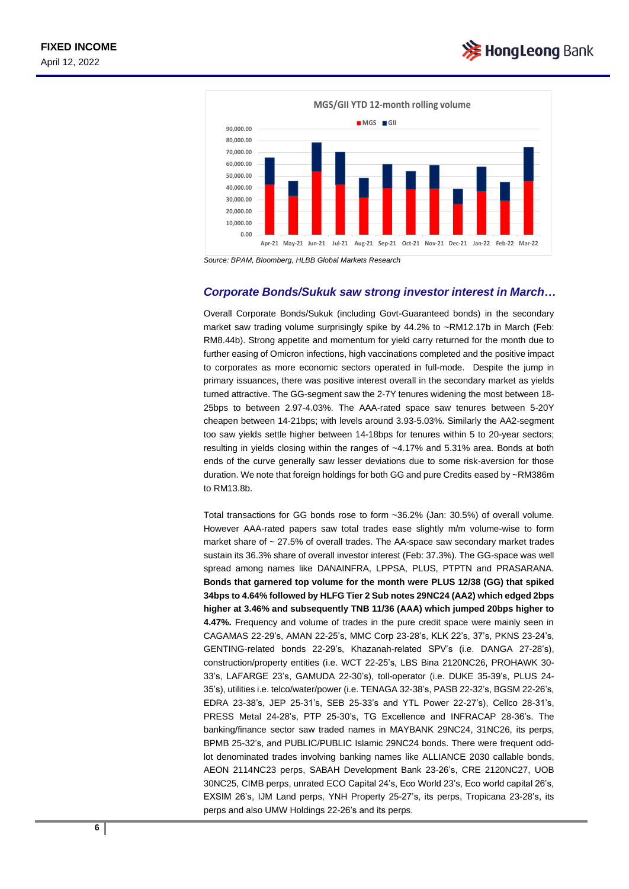



*Source: BPAM, Bloomberg, HLBB Global Markets Research*

#### *Corporate Bonds/Sukuk saw strong investor interest in March…*

Overall Corporate Bonds/Sukuk (including Govt-Guaranteed bonds) in the secondary market saw trading volume surprisingly spike by 44.2% to ~RM12.17b in March (Feb: RM8.44b). Strong appetite and momentum for yield carry returned for the month due to further easing of Omicron infections, high vaccinations completed and the positive impact to corporates as more economic sectors operated in full-mode. Despite the jump in primary issuances, there was positive interest overall in the secondary market as yields turned attractive. The GG-segment saw the 2-7Y tenures widening the most between 18- 25bps to between 2.97-4.03%. The AAA-rated space saw tenures between 5-20Y cheapen between 14-21bps; with levels around 3.93-5.03%. Similarly the AA2-segment too saw yields settle higher between 14-18bps for tenures within 5 to 20-year sectors; resulting in yields closing within the ranges of ~4.17% and 5.31% area. Bonds at both ends of the curve generally saw lesser deviations due to some risk-aversion for those duration. We note that foreign holdings for both GG and pure Credits eased by ~RM386m to RM13.8b.

Total transactions for GG bonds rose to form ~36.2% (Jan: 30.5%) of overall volume. However AAA-rated papers saw total trades ease slightly m/m volume-wise to form market share of  $\sim$  27.5% of overall trades. The AA-space saw secondary market trades sustain its 36.3% share of overall investor interest (Feb: 37.3%). The GG-space was well spread among names like DANAINFRA, LPPSA, PLUS, PTPTN and PRASARANA. **Bonds that garnered top volume for the month were PLUS 12/38 (GG) that spiked 34bps to 4.64% followed by HLFG Tier 2 Sub notes 29NC24 (AA2) which edged 2bps higher at 3.46% and subsequently TNB 11/36 (AAA) which jumped 20bps higher to 4.47%.** Frequency and volume of trades in the pure credit space were mainly seen in CAGAMAS 22-29's, AMAN 22-25's, MMC Corp 23-28's, KLK 22's, 37's, PKNS 23-24's, GENTING-related bonds 22-29's, Khazanah-related SPV's (i.e. DANGA 27-28's), construction/property entities (i.e. WCT 22-25's, LBS Bina 2120NC26, PROHAWK 30- 33's, LAFARGE 23's, GAMUDA 22-30's), toll-operator (i.e. DUKE 35-39's, PLUS 24- 35's), utilities i.e. telco/water/power (i.e. TENAGA 32-38's, PASB 22-32's, BGSM 22-26's, EDRA 23-38's, JEP 25-31's, SEB 25-33's and YTL Power 22-27's), Cellco 28-31's, PRESS Metal 24-28's, PTP 25-30's, TG Excellence and INFRACAP 28-36's. The banking/finance sector saw traded names in MAYBANK 29NC24, 31NC26, its perps, BPMB 25-32's, and PUBLIC/PUBLIC Islamic 29NC24 bonds. There were frequent oddlot denominated trades involving banking names like ALLIANCE 2030 callable bonds, AEON 2114NC23 perps, SABAH Development Bank 23-26's, CRE 2120NC27, UOB 30NC25, CIMB perps, unrated ECO Capital 24's, Eco World 23's, Eco world capital 26's, EXSIM 26's, IJM Land perps, YNH Property 25-27's, its perps, Tropicana 23-28's, its perps and also UMW Holdings 22-26's and its perps.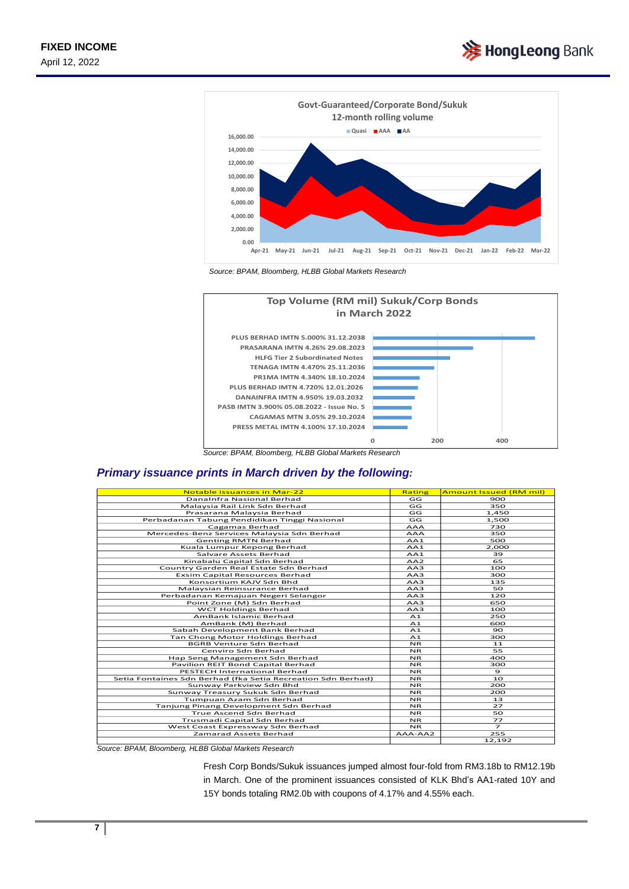



*Source: BPAM, Bloomberg, HLBB Global Markets Research*



*Source: BPAM, Bloomberg, HLBB Global Markets Research* 

## *Primary issuance prints in March driven by the following:*

| <b>Notable issuances in Mar-22</b>                           | Rating     | <b>Amount Issued (RM mil)</b> |
|--------------------------------------------------------------|------------|-------------------------------|
| DanaInfra Nasional Berhad                                    | GG         | 900                           |
| Malaysia Rail Link Sdn Berhad                                | GG         | 350                           |
| Prasarana Malaysia Berhad                                    | GG         | 1,450                         |
| Perbadanan Tabung Pendidikan Tinggi Nasional                 | GG         | 1.500                         |
| Cagamas Berhad                                               | <b>AAA</b> | 730                           |
| Mercedes-Benz Services Malaysia Sdn Berhad                   | <b>AAA</b> | 350                           |
| <b>Genting RMTN Berhad</b>                                   | AA1        | 500                           |
| Kuala Lumpur Kepong Berhad                                   | AA1        | 2,000                         |
| Salvare Assets Berhad                                        | AA1        | 39                            |
| Kinabalu Capital Sdn Berhad                                  | AA2        | 65                            |
| Country Garden Real Estate Sdn Berhad                        | AA3        | 100                           |
| <b>Exsim Capital Resources Berhad</b>                        | AA3        | 300                           |
| Konsortium KAJV Sdn Bhd                                      | AA3        | 135                           |
| Malaysian Reinsurance Berhad                                 | AA3        | 50                            |
| Perbadanan Kemajuan Negeri Selangor                          | AA3        | 120                           |
| Point Zone (M) Sdn Berhad                                    | AA3        | 650                           |
| <b>WCT Holdings Berhad</b>                                   | AA3        | 100                           |
| AmBank Islamic Berhad                                        | A1         | 250                           |
| AmBank (M) Berhad                                            | A1         | 600                           |
| Sabah Development Bank Berhad                                | A1         | 90                            |
| Tan Chong Motor Holdings Berhad                              | A1         | 300                           |
| <b>BGRB Venture Sdn Berhad</b>                               | <b>NR</b>  | 11                            |
| Cenviro Sdn Berhad                                           | <b>NR</b>  | 55                            |
| Hap Seng Management Sdn Berhad                               | <b>NR</b>  | 400                           |
| Pavilion REIT Bond Capital Berhad                            | <b>NR</b>  | 300                           |
| PESTECH International Berhad                                 | <b>NR</b>  | $\mathbf{Q}$                  |
| Setia Fontaines Sdn Berhad (fka Setia Recreation Sdn Berhad) | <b>NR</b>  | 10                            |
| Sunway Parkview Sdn Bhd                                      | <b>NR</b>  | 200                           |
| Sunway Treasury Sukuk Sdn Berhad                             | <b>NR</b>  | 200                           |
| Tumpuan Azam Sdn Berhad                                      | <b>NR</b>  | 13                            |
| Tanjung Pinang Development Sdn Berhad                        | <b>NR</b>  | 27                            |
| True Ascend Sdn Berhad                                       | <b>NR</b>  | 50                            |
| Trusmadi Capital Sdn Berhad                                  | <b>NR</b>  | 77                            |
| West Coast Expressway Sdn Berhad                             | <b>NR</b>  | $\overline{z}$                |
| Zamarad Assets Berhad                                        | AAA-AA2    | 255                           |
|                                                              |            | 12,192                        |

*Source: BPAM, Bloomberg, HLBB Global Markets Research*

Fresh Corp Bonds/Sukuk issuances jumped almost four-fold from RM3.18b to RM12.19b in March. One of the prominent issuances consisted of KLK Bhd's AA1-rated 10Y and 15Y bonds totaling RM2.0b with coupons of 4.17% and 4.55% each.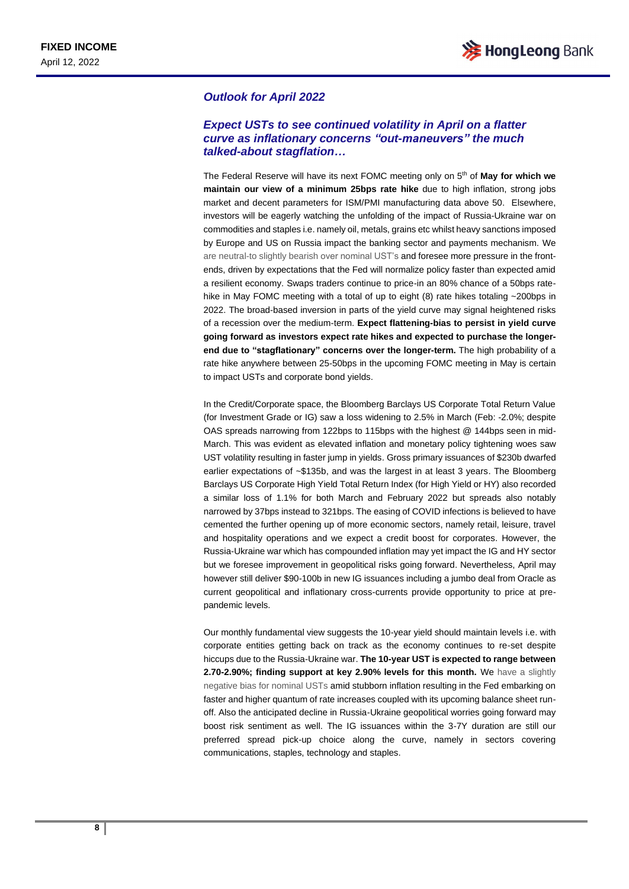#### *Outlook for April 2022*

#### *Expect USTs to see continued volatility in April on a flatter curve as inflationary concerns "out-maneuvers" the much talked-about stagflation…*

The Federal Reserve will have its next FOMC meeting only on 5<sup>th</sup> of **May for which we maintain our view of a minimum 25bps rate hike** due to high inflation, strong jobs market and decent parameters for ISM/PMI manufacturing data above 50. Elsewhere, investors will be eagerly watching the unfolding of the impact of Russia-Ukraine war on commodities and staples i.e. namely oil, metals, grains etc whilst heavy sanctions imposed by Europe and US on Russia impact the banking sector and payments mechanism. We are neutral-to slightly bearish over nominal UST's and foresee more pressure in the frontends, driven by expectations that the Fed will normalize policy faster than expected amid a resilient economy. Swaps traders continue to price-in an 80% chance of a 50bps ratehike in May FOMC meeting with a total of up to eight (8) rate hikes totaling ~200bps in 2022. The broad-based inversion in parts of the yield curve may signal heightened risks of a recession over the medium-term. **Expect flattening-bias to persist in yield curve going forward as investors expect rate hikes and expected to purchase the longerend due to "stagflationary" concerns over the longer-term.** The high probability of a rate hike anywhere between 25-50bps in the upcoming FOMC meeting in May is certain to impact USTs and corporate bond yields.

In the Credit/Corporate space, the Bloomberg Barclays US Corporate Total Return Value (for Investment Grade or IG) saw a loss widening to 2.5% in March (Feb: -2.0%; despite OAS spreads narrowing from 122bps to 115bps with the highest @ 144bps seen in mid-March. This was evident as elevated inflation and monetary policy tightening woes saw UST volatility resulting in faster jump in yields. Gross primary issuances of \$230b dwarfed earlier expectations of ~\$135b, and was the largest in at least 3 years. The Bloomberg Barclays US Corporate High Yield Total Return Index (for High Yield or HY) also recorded a similar loss of 1.1% for both March and February 2022 but spreads also notably narrowed by 37bps instead to 321bps. The easing of COVID infections is believed to have cemented the further opening up of more economic sectors, namely retail, leisure, travel and hospitality operations and we expect a credit boost for corporates. However, the Russia-Ukraine war which has compounded inflation may yet impact the IG and HY sector but we foresee improvement in geopolitical risks going forward. Nevertheless, April may however still deliver \$90-100b in new IG issuances including a jumbo deal from Oracle as current geopolitical and inflationary cross-currents provide opportunity to price at prepandemic levels.

Our monthly fundamental view suggests the 10-year yield should maintain levels i.e. with corporate entities getting back on track as the economy continues to re-set despite hiccups due to the Russia-Ukraine war. **The 10-year UST is expected to range between 2.70-2.90%; finding support at key 2.90% levels for this month.** We have a slightly negative bias for nominal USTs amid stubborn inflation resulting in the Fed embarking on faster and higher quantum of rate increases coupled with its upcoming balance sheet runoff. Also the anticipated decline in Russia-Ukraine geopolitical worries going forward may boost risk sentiment as well. The IG issuances within the 3-7Y duration are still our preferred spread pick-up choice along the curve, namely in sectors covering communications, staples, technology and staples.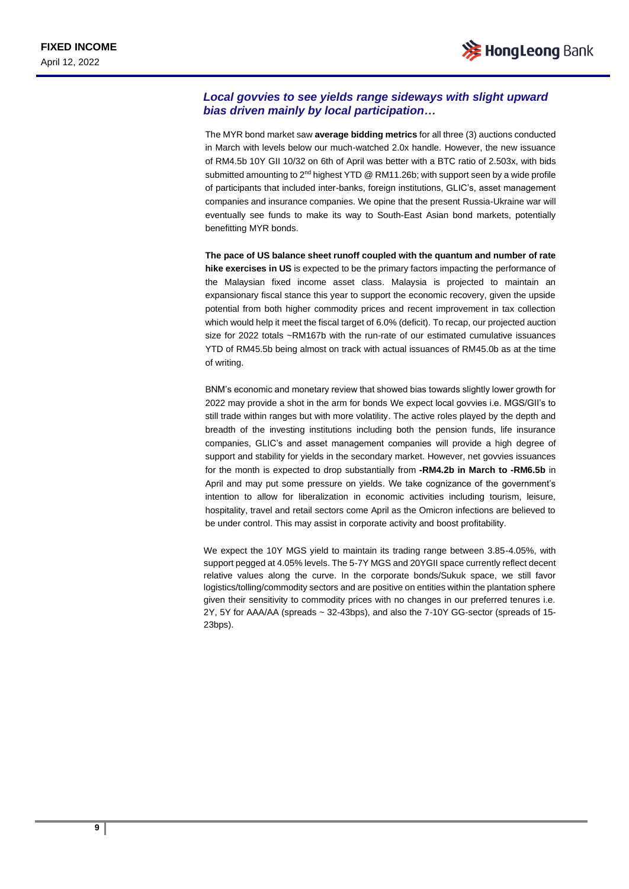### *Local govvies to see yields range sideways with slight upward bias driven mainly by local participation…*

The MYR bond market saw **average bidding metrics** for all three (3) auctions conducted in March with levels below our much-watched 2.0x handle. However, the new issuance of RM4.5b 10Y GII 10/32 on 6th of April was better with a BTC ratio of 2.503x, with bids submitted amounting to 2<sup>nd</sup> highest YTD @ RM11.26b; with support seen by a wide profile of participants that included inter-banks, foreign institutions, GLIC's, asset management companies and insurance companies. We opine that the present Russia-Ukraine war will eventually see funds to make its way to South-East Asian bond markets, potentially benefitting MYR bonds.

**The pace of US balance sheet runoff coupled with the quantum and number of rate hike exercises in US** is expected to be the primary factors impacting the performance of the Malaysian fixed income asset class. Malaysia is projected to maintain an expansionary fiscal stance this year to support the economic recovery, given the upside potential from both higher commodity prices and recent improvement in tax collection which would help it meet the fiscal target of 6.0% (deficit). To recap, our projected auction size for 2022 totals ~RM167b with the run-rate of our estimated cumulative issuances YTD of RM45.5b being almost on track with actual issuances of RM45.0b as at the time of writing.

BNM's economic and monetary review that showed bias towards slightly lower growth for 2022 may provide a shot in the arm for bonds We expect local govvies i.e. MGS/GII's to still trade within ranges but with more volatility. The active roles played by the depth and breadth of the investing institutions including both the pension funds, life insurance companies, GLIC's and asset management companies will provide a high degree of support and stability for yields in the secondary market. However, net govvies issuances for the month is expected to drop substantially from **-RM4.2b in March to -RM6.5b** in April and may put some pressure on yields. We take cognizance of the government's intention to allow for liberalization in economic activities including tourism, leisure, hospitality, travel and retail sectors come April as the Omicron infections are believed to be under control. This may assist in corporate activity and boost profitability.

We expect the 10Y MGS yield to maintain its trading range between 3.85-4.05%, with support pegged at 4.05% levels. The 5-7Y MGS and 20YGII space currently reflect decent relative values along the curve. In the corporate bonds/Sukuk space, we still favor logistics/tolling/commodity sectors and are positive on entities within the plantation sphere given their sensitivity to commodity prices with no changes in our preferred tenures i.e. 2Y, 5Y for AAA/AA (spreads ~ 32-43bps), and also the 7-10Y GG-sector (spreads of 15- 23bps).